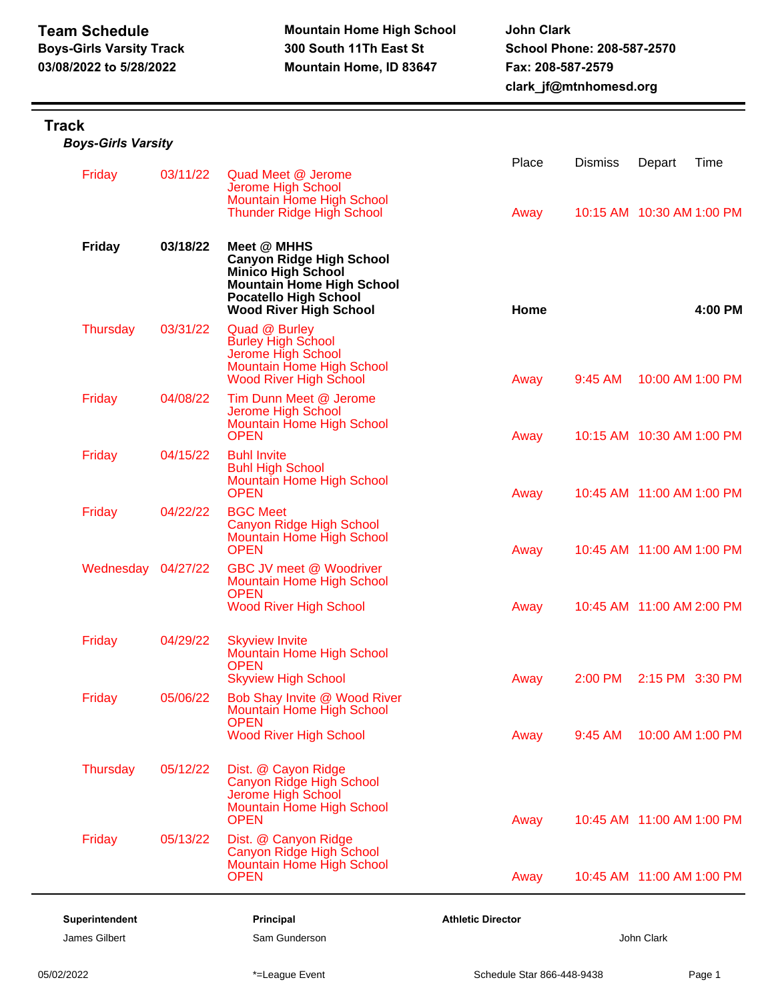## **Track**

| <b>Boys-Girls Varsity</b> |  |
|---------------------------|--|
|---------------------------|--|

| Friday             | 03/11/22 | Quad Meet @ Jerome<br>Jerome High School<br><b>Mountain Home High School</b>                                                                                                     | Place                    | <b>Dismiss</b>            | Depart                    | Time    |
|--------------------|----------|----------------------------------------------------------------------------------------------------------------------------------------------------------------------------------|--------------------------|---------------------------|---------------------------|---------|
|                    |          | <b>Thunder Ridge High School</b>                                                                                                                                                 | Away                     | 10:15 AM 10:30 AM 1:00 PM |                           |         |
| <b>Friday</b>      | 03/18/22 | Meet @ MHHS<br><b>Canyon Ridge High School</b><br><b>Minico High School</b><br><b>Mountain Home High School</b><br><b>Pocatello High School</b><br><b>Wood River High School</b> | Home                     |                           |                           | 4:00 PM |
| <b>Thursday</b>    | 03/31/22 | Quad @ Burley<br><b>Burley High School</b><br>Jerome High School<br><b>Mountain Home High School</b><br><b>Wood River High School</b>                                            | Away                     | 9:45 AM                   | 10:00 AM 1:00 PM          |         |
| Friday             | 04/08/22 | Tim Dunn Meet @ Jerome<br>Jerome High School<br><b>Mountain Home High School</b><br><b>OPEN</b>                                                                                  | Away                     | 10:15 AM 10:30 AM 1:00 PM |                           |         |
| Friday             | 04/15/22 | <b>Buhl Invite</b><br><b>Buhl High School</b><br>Mountain Home High School<br><b>OPEN</b>                                                                                        | Away                     | 10:45 AM 11:00 AM 1:00 PM |                           |         |
| Friday             | 04/22/22 | <b>BGC Meet</b><br>Canyon Ridge High School<br><b>Mountain Home High School</b><br><b>OPEN</b>                                                                                   | Away                     | 10:45 AM 11:00 AM 1:00 PM |                           |         |
| Wednesday 04/27/22 |          | <b>GBC JV meet @ Woodriver</b><br><b>Mountain Home High School</b><br><b>OPEN</b><br><b>Wood River High School</b>                                                               | Away                     | 10:45 AM 11:00 AM 2:00 PM |                           |         |
| Friday             | 04/29/22 | <b>Skyview Invite</b><br><b>Mountain Home High School</b><br><b>OPEN</b>                                                                                                         |                          |                           |                           |         |
| Friday             | 05/06/22 | <b>Skyview High School</b><br>Bob Shay Invite @ Wood River<br>Mountain Home High School<br><b>OPEN</b>                                                                           | Away                     | 2:00 PM                   | 2:15 PM 3:30 PM           |         |
|                    |          | <b>Wood River High School</b>                                                                                                                                                    | Away                     | 9:45 AM                   | 10:00 AM 1:00 PM          |         |
| Thursday           | 05/12/22 | Dist. @ Cayon Ridge<br>Canyon Ridge High School<br>Jerome High School<br><b>Mountain Home High School</b><br><b>OPEN</b>                                                         | Away                     |                           | 10:45 AM 11:00 AM 1:00 PM |         |
| Friday             | 05/13/22 | Dist. @ Canyon Ridge<br>Canyon Ridge High School<br><b>Mountain Home High School</b><br><b>OPEN</b>                                                                              | Away                     |                           | 10:45 AM 11:00 AM 1:00 PM |         |
| Superintendent     |          | Principal                                                                                                                                                                        | <b>Athletic Director</b> |                           |                           |         |
| James Gilbert      |          | Sam Gunderson                                                                                                                                                                    |                          |                           | John Clark                |         |